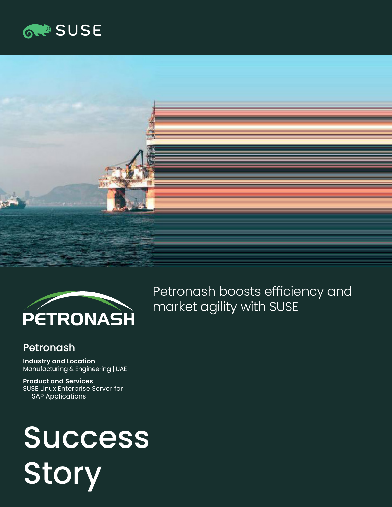





Petronash boosts efficiency and market agility with SUSE

# **Petronash**

**Industry and Location**  Manufacturing & Engineering | UAE

**Product and Services**  SUSE Linux Enterprise Server for SAP Applications

# **Success** Story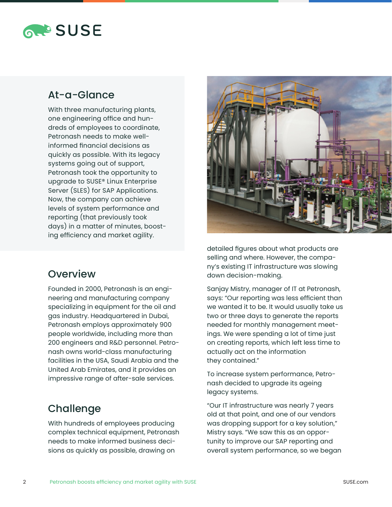

# At-a-Glance

With three manufacturing plants, one engineering office and hundreds of employees to coordinate, Petronash needs to make wellinformed financial decisions as quickly as possible. With its legacy systems going out of support, Petronash took the opportunity to upgrade to SUSE® Linux Enterprise Server (SLES) for SAP Applications. Now, the company can achieve levels of system performance and reporting (that previously took days) in a matter of minutes, boosting efficiency and market agility.

#### **Overview**

Founded in 2000, Petronash is an engineering and manufacturing company specializing in equipment for the oil and gas industry. Headquartered in Dubai, Petronash employs approximately 900 people worldwide, including more than 200 engineers and R&D personnel. Petronash owns world-class manufacturing facilities in the USA, Saudi Arabia and the United Arab Emirates, and it provides an impressive range of after-sale services.

# **Challenge**

With hundreds of employees producing complex technical equipment, Petronash needs to make informed business decisions as quickly as possible, drawing on



detailed figures about what products are selling and where. However, the company's existing IT infrastructure was slowing down decision-making.

Sanjay Mistry, manager of IT at Petronash, says: "Our reporting was less efficient than we wanted it to be. It would usually take us two or three days to generate the reports needed for monthly management meetings. We were spending a lot of time just on creating reports, which left less time to actually act on the information they contained."

To increase system performance, Petronash decided to upgrade its ageing legacy systems.

"Our IT infrastructure was nearly 7 years old at that point, and one of our vendors was dropping support for a key solution," Mistry says. "We saw this as an opportunity to improve our SAP reporting and overall system performance, so we began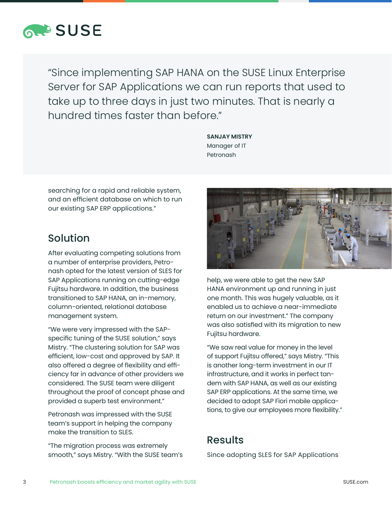

"Since implementing SAP HANA on the SUSE Linux Enterprise Server for SAP Applications we can run reports that used to take up to three days in just two minutes. That is nearly a hundred times faster than before."

> **SANJAY MISTRY**  Manager of IT Petronash

searching for a rapid and reliable system, and an efficient database on which to run our existing SAP ERP applications."

#### Solution

After evaluating competing solutions from a number of enterprise providers, Petronash opted for the latest version of SLES for SAP Applications running on cutting-edge Fujitsu hardware. In addition, the business transitioned to SAP HANA, an in-memory, column-oriented, relational database management system.

"We were very impressed with the SAPspecific tuning of the SUSE solution," says Mistry. "The clustering solution for SAP was efficient, low-cost and approved by SAP. It also offered a degree of flexibility and efficiency far in advance of other providers we considered. The SUSE team were diligent throughout the proof of concept phase and provided a superb test environment."

Petronash was impressed with the SUSE team's support in helping the company make the transition to SLES.

"The migration process was extremely smooth," says Mistry. "With the SUSE team's



help, we were able to get the new SAP HANA environment up and running in just one month. This was hugely valuable, as it enabled us to achieve a near-immediate return on our investment." The company was also satisfied with its migration to new Fujitsu hardware.

"We saw real value for money in the level of support Fujitsu offered," says Mistry. "This is another long-term investment in our IT infrastructure, and it works in perfect tandem with SAP HANA, as well as our existing SAP ERP applications. At the same time, we decided to adopt SAP Fiori mobile applications, to give our employees more flexibility."

# Results

Since adopting SLES for SAP Applications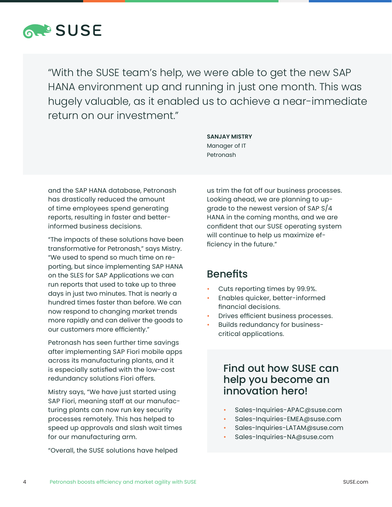

"With the SUSE team's help, we were able to get the new SAP HANA environment up and running in just one month. This was hugely valuable, as it enabled us to achieve a near-immediate return on our investment."

> **SANJAY MISTRY**  Manager of IT Petronash

and the SAP HANA database, Petronash has drastically reduced the amount of time employees spend generating reports, resulting in faster and betterinformed business decisions.

"The impacts of these solutions have been transformative for Petronash," says Mistry. "We used to spend so much time on reporting, but since implementing SAP HANA on the SLES for SAP Applications we can run reports that used to take up to three days in just two minutes. That is nearly a hundred times faster than before. We can now respond to changing market trends more rapidly and can deliver the goods to our customers more efficiently."

Petronash has seen further time savings after implementing SAP Fiori mobile apps across its manufacturing plants, and it is especially satisfied with the low-cost redundancy solutions Fiori offers.

Mistry says, "We have just started using SAP Fiori, meaning staff at our manufacturing plants can now run key security processes remotely. This has helped to speed up approvals and slash wait times for our manufacturing arm.

"Overall, the SUSE solutions have helped

us trim the fat off our business processes. Looking ahead, we are planning to upgrade to the newest version of SAP S/4 HANA in the coming months, and we are confident that our SUSE operating system will continue to help us maximize efficiency in the future."

# Benefits

- Cuts reporting times by 99.9%.
- Enables quicker, better-informed financial decisions.
- Drives efficient business processes.
- Builds redundancy for businesscritical applications.

# Find out how SUSE can help you become an innovation hero!

- Sales-Inquiries-APAC@suse.com
- Sales-Inquiries-EMEA@suse.com
- Sales-Inquiries-LATAM@suse.com
- Sales-Inquiries-NA@suse.com